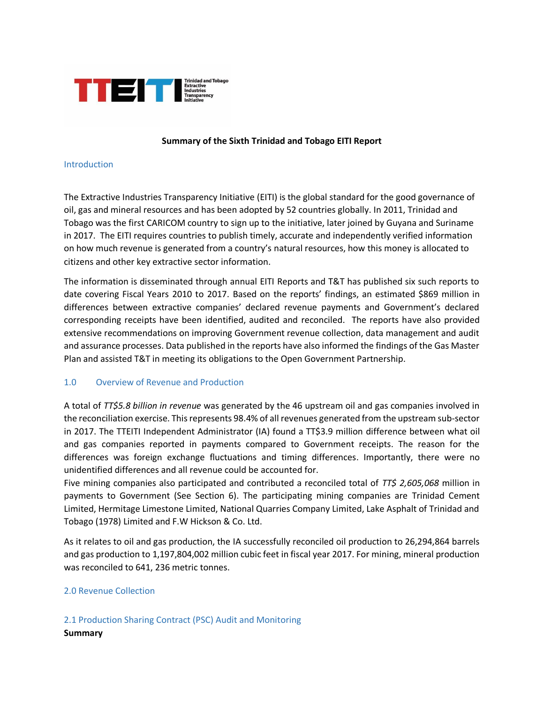

## **Summary of the Sixth Trinidad and Tobago EITI Report**

#### Introduction

The Extractive Industries Transparency Initiative (EITI) is the global standard for the good governance of oil, gas and mineral resources and has been adopted by 52 countries globally. In 2011, Trinidad and Tobago was the first CARICOM country to sign up to the initiative, later joined by Guyana and Suriname in 2017. The EITI requires countries to publish timely, accurate and independently verified information on how much revenue is generated from a country's natural resources, how this money is allocated to citizens and other key extractive sector information.

The information is disseminated through annual EITI Reports and T&T has published six such reports to date covering Fiscal Years 2010 to 2017. Based on the reports' findings, an estimated \$869 million in differences between extractive companies' declared revenue payments and Government's declared corresponding receipts have been identified, audited and reconciled. The reports have also provided extensive recommendations on improving Government revenue collection, data management and audit and assurance processes. Data published in the reports have also informed the findings of the Gas Master Plan and assisted T&T in meeting its obligations to the Open Government Partnership.

## 1.0 Overview of Revenue and Production

A total of *TT\$5.8 billion in revenue* was generated by the 46 upstream oil and gas companies involved in the reconciliation exercise. This represents 98.4% of all revenues generated from the upstream sub-sector in 2017. The TTEITI Independent Administrator (IA) found a TT\$3.9 million difference between what oil and gas companies reported in payments compared to Government receipts. The reason for the differences was foreign exchange fluctuations and timing differences. Importantly, there were no unidentified differences and all revenue could be accounted for.

Five mining companies also participated and contributed a reconciled total of *TT\$ 2,605,068* million in payments to Government (See Section 6). The participating mining companies are Trinidad Cement Limited, Hermitage Limestone Limited, National Quarries Company Limited, Lake Asphalt of Trinidad and Tobago (1978) Limited and F.W Hickson & Co. Ltd.

As it relates to oil and gas production, the IA successfully reconciled oil production to 26,294,864 barrels and gas production to 1,197,804,002 million cubic feet in fiscal year 2017. For mining, mineral production was reconciled to 641, 236 metric tonnes.

## 2.0 Revenue Collection

2.1 Production Sharing Contract (PSC) Audit and Monitoring **Summary**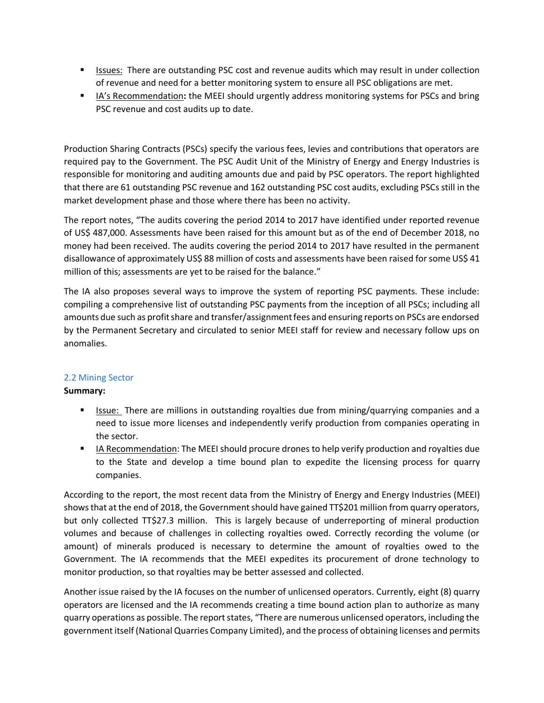- **In** Issues: There are outstanding PSC cost and revenue audits which may result in under collection of revenue and need for a better monitoring system to ensure all PSC obligations are met.
- IA's Recommendation**:** the MEEI should urgently address monitoring systems for PSCs and bring PSC revenue and cost audits up to date.

Production Sharing Contracts (PSCs) specify the various fees, levies and contributions that operators are required pay to the Government. The PSC Audit Unit of the Ministry of Energy and Energy Industries is responsible for monitoring and auditing amounts due and paid by PSC operators. The report highlighted that there are 61 outstanding PSC revenue and 162 outstanding PSC cost audits, excluding PSCs still in the market development phase and those where there has been no activity.

The report notes, "The audits covering the period 2014 to 2017 have identified under reported revenue of US\$ 487,000. Assessments have been raised for this amount but as of the end of December 2018, no money had been received. The audits covering the period 2014 to 2017 have resulted in the permanent disallowance of approximately US\$ 88 million of costs and assessments have been raised for some US\$ 41 million of this; assessments are yet to be raised for the balance."

The IA also proposes several ways to improve the system of reporting PSC payments. These include: compiling a comprehensive list of outstanding PSC payments from the inception of all PSCs; including all amounts due such as profit share and transfer/assignment fees and ensuring reports on PSCs are endorsed by the Permanent Secretary and circulated to senior MEEI staff for review and necessary follow ups on anomalies.

# 2.2 Mining Sector

# **Summary:**

- **In** Issue: There are millions in outstanding royalties due from mining/quarrying companies and a need to issue more licenses and independently verify production from companies operating in the sector.
- **IF A Recommendation: The MEEI should procure drones to help verify production and royalties due** to the State and develop a time bound plan to expedite the licensing process for quarry companies.

According to the report, the most recent data from the Ministry of Energy and Energy Industries (MEEI) shows that at the end of 2018, the Government should have gained TT\$201 million from quarry operators, but only collected TT\$27.3 million. This is largely because of underreporting of mineral production volumes and because of challenges in collecting royalties owed. Correctly recording the volume (or amount) of minerals produced is necessary to determine the amount of royalties owed to the Government. The IA recommends that the MEEI expedites its procurement of drone technology to monitor production, so that royalties may be better assessed and collected.

Another issue raised by the IA focuses on the number of unlicensed operators. Currently, eight (8) quarry operators are licensed and the IA recommends creating a time bound action plan to authorize as many quarry operations as possible. The report states, "There are numerous unlicensed operators, including the government itself (National Quarries Company Limited), and the process of obtaining licenses and permits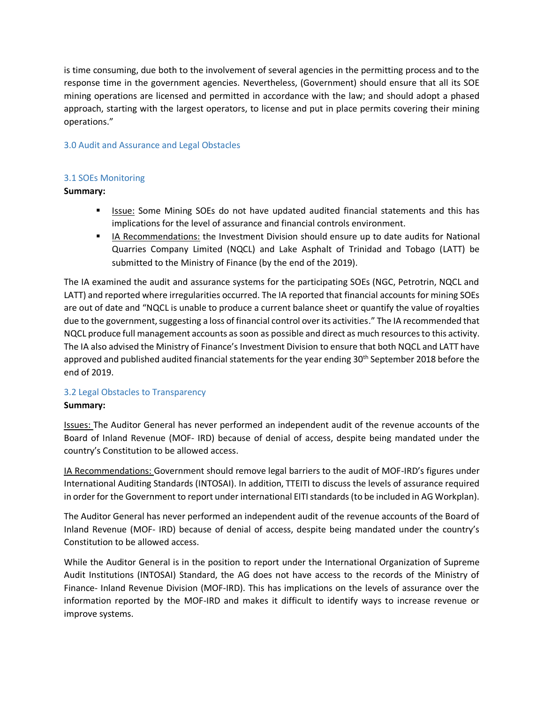is time consuming, due both to the involvement of several agencies in the permitting process and to the response time in the government agencies. Nevertheless, (Government) should ensure that all its SOE mining operations are licensed and permitted in accordance with the law; and should adopt a phased approach, starting with the largest operators, to license and put in place permits covering their mining operations."

# 3.0 Audit and Assurance and Legal Obstacles

# 3.1 SOEs Monitoring

# **Summary:**

- **In** Issue: Some Mining SOEs do not have updated audited financial statements and this has implications for the level of assurance and financial controls environment.
- **IIA Recommendations: the Investment Division should ensure up to date audits for National** Quarries Company Limited (NQCL) and Lake Asphalt of Trinidad and Tobago (LATT) be submitted to the Ministry of Finance (by the end of the 2019).

The IA examined the audit and assurance systems for the participating SOEs (NGC, Petrotrin, NQCL and LATT) and reported where irregularities occurred. The IA reported that financial accounts for mining SOEs are out of date and "NQCL is unable to produce a current balance sheet or quantify the value of royalties due to the government, suggesting a loss of financial control over its activities." The IA recommended that NQCL produce full management accounts as soon as possible and direct as much resources to this activity. The IA also advised the Ministry of Finance's Investment Division to ensure that both NQCL and LATT have approved and published audited financial statements for the year ending 30<sup>th</sup> September 2018 before the end of 2019.

## 3.2 Legal Obstacles to Transparency

## **Summary:**

Issues: The Auditor General has never performed an independent audit of the revenue accounts of the Board of Inland Revenue (MOF- IRD) because of denial of access, despite being mandated under the country's Constitution to be allowed access.

IA Recommendations: Government should remove legal barriers to the audit of MOF-IRD's figures under International Auditing Standards (INTOSAI). In addition, TTEITI to discuss the levels of assurance required in order for the Government to report under international EITI standards (to be included in AG Workplan).

The Auditor General has never performed an independent audit of the revenue accounts of the Board of Inland Revenue (MOF- IRD) because of denial of access, despite being mandated under the country's Constitution to be allowed access.

While the Auditor General is in the position to report under the International Organization of Supreme Audit Institutions (INTOSAI) Standard, the AG does not have access to the records of the Ministry of Finance- Inland Revenue Division (MOF-IRD). This has implications on the levels of assurance over the information reported by the MOF-IRD and makes it difficult to identify ways to increase revenue or improve systems.